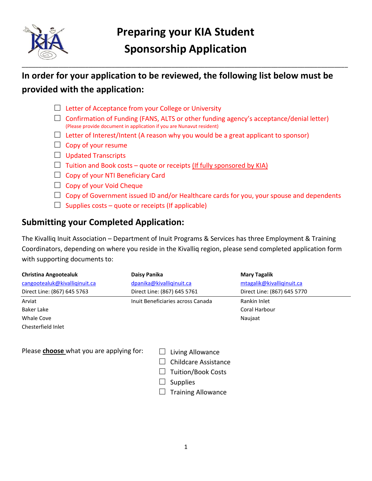

\_\_\_\_\_\_\_\_\_\_\_\_\_\_\_\_\_\_\_\_\_\_\_\_\_\_\_\_\_\_\_\_\_\_\_\_\_\_\_\_\_\_\_\_\_\_\_\_\_\_\_\_\_\_\_\_\_\_\_\_\_\_\_\_\_\_\_\_\_\_\_\_\_\_\_\_\_\_\_\_\_\_\_\_\_\_\_\_\_\_\_\_\_\_\_\_\_\_

## **In order for your application to be reviewed, the following list below must be provided with the application:**

- $\Box$  Letter of Acceptance from your College or University
- $\Box$  Confirmation of Funding (FANS, ALTS or other funding agency's acceptance/denial letter) (Please provide document in application if you are Nunavut resident)
- $\Box$  Letter of Interest/Intent (A reason why you would be a great applicant to sponsor)
- $\Box$  Copy of your resume
- $\Box$  Updated Transcripts
- $\Box$  Tuition and Book costs quote or receipts (If fully sponsored by KIA)
- $\Box$  Copy of your NTI Beneficiary Card
- $\Box$  Copy of your Void Cheque
- $\Box$  Copy of Government issued ID and/or Healthcare cards for you, your spouse and dependents
- $\Box$  Supplies costs quote or receipts (If applicable)

### **Submitting your Completed Application:**

The Kivalliq Inuit Association – Department of Inuit Programs & Services has three Employment & Training Coordinators, depending on where you reside in the Kivalliq region, please send completed application form with supporting documents to:

| <b>Christina Angootealuk</b>  | Daisy Panika                      | <b>Mary Tagalik</b>         |
|-------------------------------|-----------------------------------|-----------------------------|
| cangootealuk@kivalliqinuit.ca | dpanika@kivalliqinuit.ca          | mtagalik@kivalliqinuit.ca   |
| Direct Line: (867) 645 5763   | Direct Line: (867) 645 5761       | Direct Line: (867) 645 5770 |
| Arviat                        | Inuit Beneficiaries across Canada | Rankin Inlet                |
| Baker Lake                    |                                   | Coral Harbour               |
| Whale Cove                    |                                   | Naujaat                     |

Chesterfield Inlet

Please **choose** what you are applying for:

- $\Box$  Living Allowance
- $\Box$  Childcare Assistance
- $\Box$  Tuition/Book Costs
- $\Box$  Supplies
- $\Box$  Training Allowance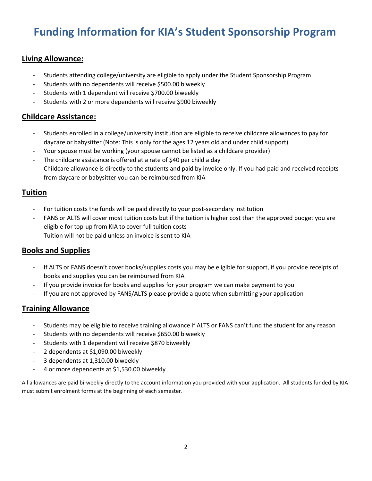# **Funding Information for KIA's Student Sponsorship Program**

#### **Living Allowance:**

- Students attending college/university are eligible to apply under the Student Sponsorship Program
- Students with no dependents will receive \$500.00 biweekly
- Students with 1 dependent will receive \$700.00 biweekly
- Students with 2 or more dependents will receive \$900 biweekly

#### **Childcare Assistance:**

- Students enrolled in a college/university institution are eligible to receive childcare allowances to pay for daycare or babysitter (Note: This is only for the ages 12 years old and under child support)
- Your spouse must be working (your spouse cannot be listed as a childcare provider)
- The childcare assistance is offered at a rate of \$40 per child a day
- Childcare allowance is directly to the students and paid by invoice only. If you had paid and received receipts from daycare or babysitter you can be reimbursed from KIA

#### **Tuition**

- For tuition costs the funds will be paid directly to your post-secondary institution
- FANS or ALTS will cover most tuition costs but if the tuition is higher cost than the approved budget you are eligible for top-up from KIA to cover full tuition costs
- Tuition will not be paid unless an invoice is sent to KIA

#### **Books and Supplies**

- If ALTS or FANS doesn't cover books/supplies costs you may be eligible for support, if you provide receipts of books and supplies you can be reimbursed from KIA
- If you provide invoice for books and supplies for your program we can make payment to you
- If you are not approved by FANS/ALTS please provide a quote when submitting your application

#### **Training Allowance**

- Students may be eligible to receive training allowance if ALTS or FANS can't fund the student for any reason
- Students with no dependents will receive \$650.00 biweekly
- Students with 1 dependent will receive \$870 biweekly
- 2 dependents at \$1,090.00 biweekly
- 3 dependents at 1,310.00 biweekly
- 4 or more dependents at \$1,530.00 biweekly

All allowances are paid bi-weekly directly to the account information you provided with your application. All students funded by KIA must submit enrolment forms at the beginning of each semester.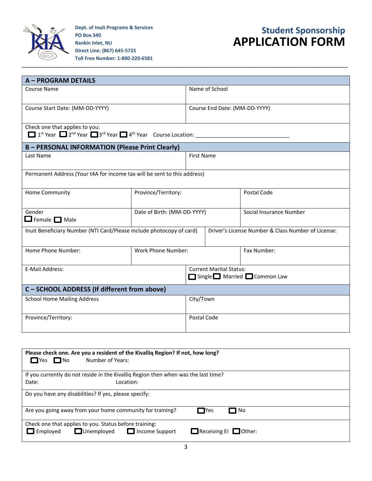

**Dept. of Inuit Programs & Services PO Box 340 Rankin Inlet, NU Direct Line: (867) 645-5725 Toll Free Number: 1-800-220-6581**

## **Student Sponsorship APPLICATION FORM**

| <b>A-PROGRAM DETAILS</b>                                                 |                             |                               |                                                             |                                                    |
|--------------------------------------------------------------------------|-----------------------------|-------------------------------|-------------------------------------------------------------|----------------------------------------------------|
| Course Name                                                              |                             | Name of School                |                                                             |                                                    |
| Course Start Date: (MM-DD-YYYY)                                          |                             | Course End Date: (MM-DD-YYYY) |                                                             |                                                    |
| Check one that applies to you:                                           |                             |                               |                                                             |                                                    |
| <b>B-PERSONAL INFORMATION (Please Print Clearly)</b>                     |                             |                               |                                                             |                                                    |
| Last Name                                                                |                             |                               | <b>First Name</b>                                           |                                                    |
| Permanent Address (Your t4A for income tax will be sent to this address) |                             |                               |                                                             |                                                    |
| Home Community                                                           | Province/Territory:         |                               |                                                             | Postal Code                                        |
| Gender<br>$\Box$ Female $\Box$ Male                                      | Date of Birth: (MM-DD-YYYY) |                               |                                                             | Social Insurance Number                            |
| Inuit Beneficiary Number (NTI Card/Please include photocopy of card)     |                             |                               |                                                             | Driver's License Number & Class Number of License: |
| Home Phone Number:                                                       | <b>Work Phone Number:</b>   |                               |                                                             | Fax Number:                                        |
| E-Mail Address:                                                          |                             |                               | <b>Current Marital Status:</b><br>Single Married Common Law |                                                    |
| C - SCHOOL ADDRESS (If different from above)                             |                             |                               |                                                             |                                                    |
| <b>School Home Mailing Address</b>                                       |                             | City/Town                     |                                                             |                                                    |
| Province/Territory:                                                      |                             | Postal Code                   |                                                             |                                                    |

| $\Box$ No<br>$\Box$ Yes | Please check one. Are you a resident of the Kivalliq Region? If not, how long?<br>Number of Years:   |                                   |  |
|-------------------------|------------------------------------------------------------------------------------------------------|-----------------------------------|--|
|                         | If you currently do not reside in the Kivalliq Region then when was the last time?                   |                                   |  |
| Date:                   | Location:                                                                                            |                                   |  |
|                         | Do you have any disabilities? If yes, please specify:                                                |                                   |  |
|                         | Are you going away from your home community for training?                                            | $\Box$ Yes<br>$\Box$ No           |  |
| $\Box$ Employed         | Check one that applies to you. Status before training:<br>$\Box$ Unemployed<br>$\Box$ Income Support | $\Box$ Receiving EI $\Box$ Other: |  |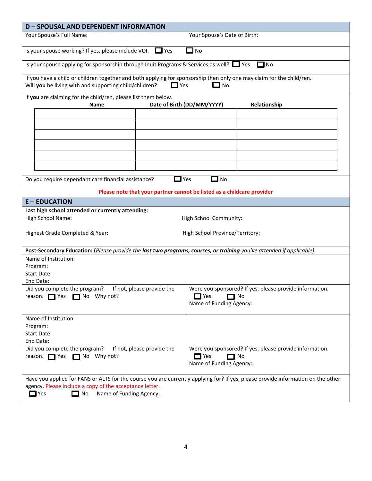| <b>D-SPOUSAL AND DEPENDENT INFORMATION</b>                                                                                                                                      |                            |                                                                        |                                                               |  |
|---------------------------------------------------------------------------------------------------------------------------------------------------------------------------------|----------------------------|------------------------------------------------------------------------|---------------------------------------------------------------|--|
| Your Spouse's Full Name:                                                                                                                                                        |                            | Your Spouse's Date of Birth:                                           |                                                               |  |
| Is your spouse working? If yes, please include VOI.                                                                                                                             | $\Box$ Yes                 | No                                                                     |                                                               |  |
| Is your spouse applying for sponsorship through Inuit Programs & Services as well? $\Box$ Yes                                                                                   |                            |                                                                        | $\Box$ No                                                     |  |
| If you have a child or children together and both applying for sponsorship then only one may claim for the child/ren.<br>Will you be living with and supporting child/children? | $\Box$ Yes                 | $\square$ No                                                           |                                                               |  |
| If you are claiming for the child/ren, please list them below.<br><b>Name</b>                                                                                                   |                            | Date of Birth (DD/MM/YYYY)                                             | Relationship                                                  |  |
|                                                                                                                                                                                 |                            |                                                                        |                                                               |  |
|                                                                                                                                                                                 |                            |                                                                        |                                                               |  |
|                                                                                                                                                                                 |                            |                                                                        |                                                               |  |
|                                                                                                                                                                                 |                            |                                                                        |                                                               |  |
|                                                                                                                                                                                 |                            |                                                                        |                                                               |  |
|                                                                                                                                                                                 |                            |                                                                        |                                                               |  |
| Do you require dependant care financial assistance?                                                                                                                             | $\Box$ Yes                 | $\Box$ No                                                              |                                                               |  |
|                                                                                                                                                                                 |                            | Please note that your partner cannot be listed as a childcare provider |                                                               |  |
| <b>E-EDUCATION</b>                                                                                                                                                              |                            |                                                                        |                                                               |  |
| Last high school attended or currently attending:                                                                                                                               |                            |                                                                        |                                                               |  |
| High School Name:                                                                                                                                                               |                            | High School Community:                                                 |                                                               |  |
| Highest Grade Completed & Year:                                                                                                                                                 |                            | High School Province/Territory:                                        |                                                               |  |
| Post-Secondary Education: (Please provide the last two programs, courses, or training you've attended if applicable)                                                            |                            |                                                                        |                                                               |  |
| Name of Institution:                                                                                                                                                            |                            |                                                                        |                                                               |  |
| Program:<br><b>Start Date:</b>                                                                                                                                                  |                            |                                                                        |                                                               |  |
| End Date:                                                                                                                                                                       |                            |                                                                        |                                                               |  |
| Did you complete the program?<br>reason. $\Box$ Yes $\Box$ No Why not?                                                                                                          | If not, please provide the | $\Box$ Yes<br>Name of Funding Agency:                                  | Were you sponsored? If yes, please provide information.<br>No |  |
| Name of Institution:                                                                                                                                                            |                            |                                                                        |                                                               |  |
| Program:                                                                                                                                                                        |                            |                                                                        |                                                               |  |
| Start Date:                                                                                                                                                                     |                            |                                                                        |                                                               |  |
| End Date:<br>Did you complete the program?                                                                                                                                      | If not, please provide the |                                                                        | Were you sponsored? If yes, please provide information.       |  |
| reason. Yes no Why not?                                                                                                                                                         |                            | $\Box$ Yes<br>$\Box$ No<br>Name of Funding Agency:                     |                                                               |  |
| Have you applied for FANS or ALTS for the course you are currently applying for? If yes, please provide information on the other                                                |                            |                                                                        |                                                               |  |
| agency. Please include a copy of the acceptance letter.<br>$\Box$ Yes<br>$\Box$ No<br>Name of Funding Agency:                                                                   |                            |                                                                        |                                                               |  |
|                                                                                                                                                                                 |                            |                                                                        |                                                               |  |